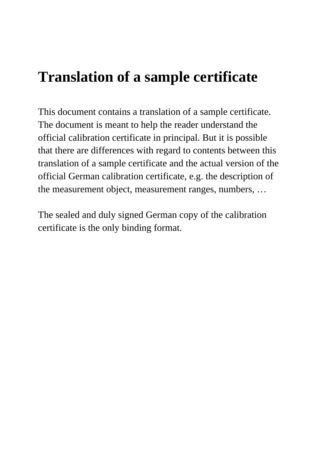# **Translation of a sample certificate**

This document contains a translation of a sample certificate. The document is meant to help the reader understand the official calibration certificate in principal. But it is possible that there are differences with regard to contents between this translation of a sample certificate and the actual version of the official German calibration certificate, e.g. the description of the measurement object, measurement ranges, numbers, …

The sealed and duly signed German copy of the calibration certificate is the only binding format.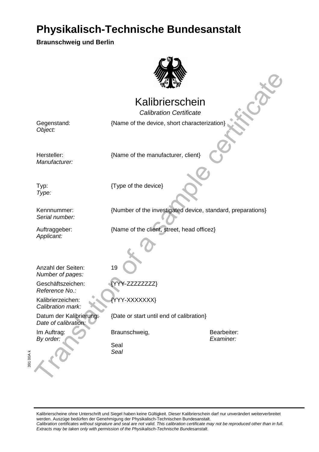**Braunschweig und Berlin** 



#### Kalibrierschein

Mathematical Control Control Control Control Control Control Control Control Control Control Control Control Control Control Control Control Control Control Control Control Control Control Control Control Control Control C Calibration Certificate {Name of the device, short characterization}

Gegenstand: Object:

Hersteller: Manufacturer: {Name of the manufacturer, client}

Typ: Type:

{Type of the device}

Kennnummer: Serial number:

Auftraggeber: Applicant:

{Name of the client, street, head officez}

{Number of the investigated device, standard, preparations}

Anzahl der Seiten: Number of pages:

Geschäftszeichen: Reference No.:

Kalibrierzeichen: Calibration mark:

Im Auftrag: By order:

Datum der Kalibrierung: Date of calibration:

19

YY-XXXXXXX<sup>Y</sup>

{YYY-ZZZZZZZZ}

{Date or start until end of calibration}

Braunschweig, Braunschweig, Bearbeiter:

Examiner:

Seal Seal

391 00A k

í

Kalibrierscheine ohne Unterschrift und Siegel haben keine Gültigkeit. Dieser Kalibrierschein darf nur unverändert weiterverbreitet werden. Auszüge bedürfen der Genehmigung der Physikalisch-Technischen Bundesanstalt. Calibration certificates without signature and seal are not valid. This calibration certificate may not be reproduced other than in full. Extracts may be taken only with permission of the Physikalisch-Technische Bundesanstalt.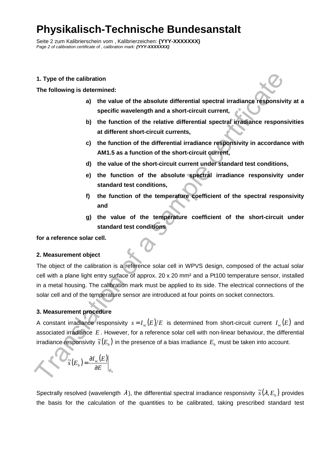Seite 2 zum Kalibrierschein vom , Kalibrierzeichen: **{YYY-XXXXXXX}**  Page 2 of calibration certificate of , calibration mark: **{YYY-XXXXXX}** 

#### **1. Type of the calibration**

#### **The following is determined:**

- **a) the value of the absolute differential spectral irradiance responsivity at a specific wavelength and a short-circuit current,**
- **b) the function of the relative differential spectral irradiance responsivities at different short-circuit currents,**
- **c) the function of the differential irradiance responsivity in accordance with AM1.5 as a function of the short-circuit current,**
- **d) the value of the short-circuit current under standard test conditions,**
- **e) the function of the absolute spectral irradiance responsivity under standard test conditions,**
- **f) the function of the temperature coefficient of the spectral responsivity and**
- **g) the value of the temperature coefficient of the short-circuit under standard test conditions**

#### **for a reference solar cell.**

#### **2. Measurement object**

1. Type of the calibration<br>
a) the value of the absolute differential spectral irradiance responsive<br>
specific wavelength and a short-circuit current,<br>
b) the function of the relative differential spectral irradiance resp The object of the calibration is a reference solar cell in WPVS design, composed of the actual solar cell with a plane light entry surface of approx. 20 x 20 mm² and a Pt100 temperature sensor, installed in a metal housing. The calibration mark must be applied to its side. The electrical connections of the solar cell and of the temperature sensor are introduced at four points on socket connectors.

#### **3. Measurement procedure**

A constant irradiance responsivity  $s = I_{sc}(E)/E$  is determined from short-circuit current  $I_{sc}(E)$  and associated irradiance *E* . However, for a reference solar cell with non-linear behaviour, the differential irradiance responsivity  $\tilde{s}(E_{\text{b}})$  in the presence of a bias irradiance  $E_{\text{b}}$  must be taken into account.

$$
\widetilde{s}(E_{\rm b}) = \frac{\partial I_{\rm sc}(E)}{\partial E}\Big|_E
$$

b

Spectrally resolved (wavelength  $\lambda$ ), the differential spectral irradiance responsivity  $\tilde{s}(\lambda,E_{_b})$  provides the basis for the calculation of the quantities to be calibrated, taking prescribed standard test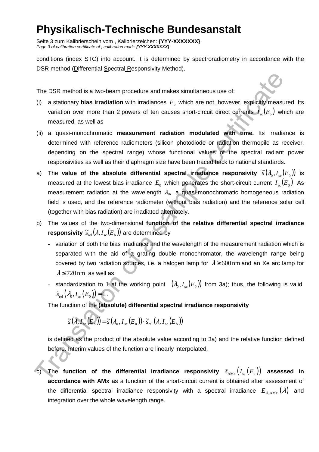Seite 3 zum Kalibrierschein vom , Kalibrierzeichen: **{YYY-XXXXXXX}**  Page 3 of calibration certificate of , calibration mark: **{YYY-XXXXXXX}** 

conditions (index STC) into account. It is determined by spectroradiometry in accordance with the DSR method (Differential Spectral Responsivity Method).

The DSR method is a two-beam procedure and makes simultaneous use of:

- (i) a stationary **bias irradiation** with irradiances  $E<sub>b</sub>$  which are not, however, explicitly measured. Its variation over more than 2 powers of ten causes short-circuit direct currents  $I_{\text{sc}}(E_{\text{b}})$  which are measured, as well as
- (ii) a quasi-monochromatic **measurement radiation modulated with time.** Its irradiance is determined with reference radiometers (silicon photodiode or radiation thermopile as receiver, depending on the spectral range) whose functional values of the spectral radiant power responsivities as well as their diaphragm size have been traced back to national standards.
- The DSR method is a two-beam procedure and makes simultaneous use of:<br>
(i) a stationary bias irradiation with irradiances  $E_n$  which are not, however, explicitly measured, as well as<br>
(ii) a quasi-monotomontic measurement a) The **value of the absolute differential spectral irradiance responsivity**  $\widetilde{s}(\lambda_{_0},I_{_{\mathrm{sc}}}(E_{_0}))$  **is** measured at the lowest bias irradiance  $E_{0}$  which generates the short-circuit current  $I_{\rm sc}(E_{0})$ . As measurement radiation at the wavelength  $\lambda_o$ , a quasi-monochromatic homogeneous radiation field is used, and the reference radiometer (without bias radiation) and the reference solar cell (together with bias radiation) are irradiated alternately.
- b) The values of the two-dimensional **function of the relative differential spectral irradiance**   $\mathsf{responsivity} \ \widetilde{s}_{\scriptscriptstyle{\text{rel}}}(\lambda, I_{\scriptscriptstyle{\text{sc}}}(E_{\scriptscriptstyle{\text{b}}}))$  are determined by
	- variation of both the bias irradiance and the wavelength of the measurement radiation which is separated with the aid of a grating double monochromator, the wavelength range being covered by two radiation sources, i.e. a halogen lamp for  $\lambda \ge 600$  nm and an Xe arc lamp for  $\lambda \le 720$  nm as well as
	- standardization to 1 at the working point  $(\lambda_0, I_{sc}(E_0))$  from 3a); thus, the following is valid:  $\tilde{S}_{rel}(\lambda_0, I_{sc}(E_0)) = 1$ .

The function of the **(absolute) differential spectral irradiance responsivity** 

$$
\widetilde{s}(\lambda, I_{\rm sc}(E_{\rm b})) = \widetilde{s}(\lambda_{\rm 0}, I_{\rm sc}(E_{\rm 0})) \cdot \widetilde{s}_{\rm rel}(\lambda, I_{\rm sc}(E_{\rm b}))
$$

is defined as the product of the absolute value according to 3a) and the relative function defined before. Interim values of the function are linearly interpolated.

The function of the differential irradiance responsivity  $\tilde{s}_{\text{AMX}}(I_{\text{sc}}(E_{\text{b}}))$  assessed in **accordance with AMx** as a function of the short-circuit current is obtained after assessment of the differential spectral irradiance responsivity with a spectral irradiance  $E_{\lambda, \text{AMx}}(\lambda)$  and integration over the whole wavelength range.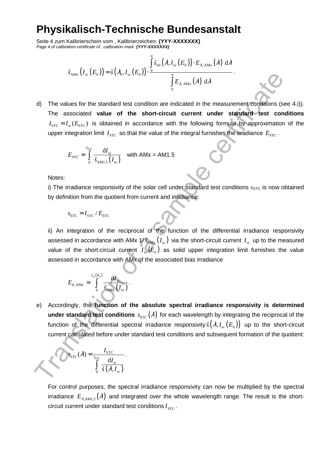Seite 4 zum Kalibrierschein vom , Kalibrierzeichen: **{YYY-XXXXXXX}**  Page 4 of calibration certificate of , calibration mark: **{YYY-XXXXXXX}** 

$$
\tilde{s}_{\text{AMx}}\left(I_{\text{sc}}\left(E_{\text{b}}\right)\right) = \tilde{s}\left(\lambda_{0}, I_{\text{sc}}\left(E_{0}\right)\right) \cdot \frac{\int\limits_{0}^{\infty} \tilde{s}_{\text{rel}}\left(\lambda, I_{\text{sc}}\left(E_{\text{b}}\right)\right) \cdot E_{\lambda, \text{AMx}}\left(\lambda\right) \, \mathrm{d}\lambda}{\int\limits_{0}^{\infty} E_{\lambda, \text{AMx}}\left(\lambda\right) \, \mathrm{d}\lambda}.
$$

<sup>3</sup>AM<sub>1</sub> ( $F_x$ ( $F_y$ <sub>1</sub>)<sup>3</sup> ( $F_y$ <sub>6</sub>, $F_z$ <sub>AM</sub><sub>2</sub> ( $F_z$ ))<sup>3</sup><br>
The values for the standard test condition are indicated in the measurement conditions of<br>
The associated **value of the short-circuit current under standard-tes** d) The values for the standard test condition are indicated in the measurement conditions (see 4.i)). The associated **value of the short-circuit current under standard test conditions**   $I_{\text{STC}} = I_{\text{sc}}(E_{\text{STC}})$  is obtained in accordance with the following formula by approximation of the upper integration limit  $I_{STC}$  so that the value of the integral furnishes the irradiance  $E_{STC}$ .

$$
E_{\rm STC} = \int_0^{I_{\rm STC}} \frac{dI_{\rm sc}}{\tilde{s}_{\rm AM1.5}(I_{\rm sc})} \quad \text{with AMx} = \text{AM1.5}
$$

Notes:

i) The irradiance responsivity of the solar cell under standard test conditions  $s<sub>STC</sub>$  is now obtained by definition from the quotient from current and irradiance:

$$
s_{\rm STC} = I_{\rm STC} / E_{\rm STC}
$$

ii) An integration of the reciprocal of the function of the differential irradiance responsivity assessed in accordance with AMx  $1/\tilde{S}_{AMx}$  ( $I_{sc}$ ) via the short-circuit current  $I_{sc}$  up to the measured value of the short-circuit current  $I_{\rm sc}(E_{\rm b})$  as solid upper integration limit furnishes the value assessed in accordance with AMx of the associated bias irradiance

$$
E_{\text{b, AMx}} = \int_{0}^{I_{\text{sc}}(E_{\text{b}})} \frac{\mathrm{d}I_{\text{sc}}}{\tilde{s}_{\text{AMx}}(I_{\text{sc}})}.
$$

e) Accordingly, the **function of the absolute spectral irradiance responsivity is determined under standard test conditions**  $s_{STC}(\lambda)$  for each wavelength by integrating the reciprocal of the function of the differential spectral irradiance responsivity  $\tilde s\big(\lambda,I_{\rm sc}(E_{\rm b})\big)$  up to the short-circuit current calculated before under standard test conditions and subsequent formation of the quotient:

$$
S_{\text{STC}}(\lambda) = \frac{I_{\text{STC}}}{\int_{0}^{I_{\text{STC}}}\frac{dI_{\text{sc}}}{\tilde{s}(\lambda, I_{\text{sc}})}}.
$$

For control purposes, the spectral irradiance responsivity can now be multiplied by the spectral irradiance  $E_{\lambda, \text{AMI},5}(\lambda)$  and integrated over the whole wavelength range. The result is the shortcircuit current under standard test conditions  $I_{\text{STC}}$ .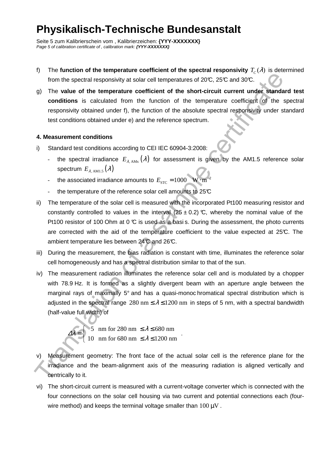Seite 5 zum Kalibrierschein vom , Kalibrierzeichen: **{YYY-XXXXXXX}**  Page 5 of calibration certificate of, calibration mark: **{YYY-XXXXXX}** 

- f) The **function of the temperature coefficient of the spectral responsivity**  $T_c(\lambda)$  **is determined** from the spectral responsivity at solar cell temperatures of  $20\text{°C}$ ,  $25\text{°C}$  and  $30\text{°C}$ .
- g) The **value of the temperature coefficient of the short-circuit current under standard test conditions** is calculated from the function of the temperature coefficient of the spectral responsivity obtained under f), the function of the absolute spectral responsivity under standard test conditions obtained under e) and the reference spectrum.

#### **4. Measurement conditions**

∆λ

- i) Standard test conditions according to CEI IEC 60904-3:2008:
	- the spectral irradiance  $E_{\lambda, \text{AMx}}(\lambda)$  for assessment is given by the AM1.5 reference solar spectrum  $E_{\lambda_{\text{AM1.5}}}(\lambda)$
	- the associated irradiance amounts to  $E_{\textrm{src}}$  = 1000  $\,$  W  $\cdot$  m<sup>-2</sup>
	- the temperature of the reference solar cell amounts to  $25<sup>c</sup>$
- ii) The temperature of the solar cell is measured with the incorporated Pt100 measuring resistor and constantly controlled to values in the interval  $(25 \pm 0.2)$  °C, whereby the nominal value of the Pt100 resistor of 100 Ohm at  $0 \, \mathbb{C}$  is used as a basi s. During the assessment, the photo currents are corrected with the aid of the temperature coefficient to the value expected at 25°C. The ambient temperature lies between 24°C and 26°C.
- iii) During the measurement, the bias radiation is constant with time, illuminates the reference solar cell homogeneously and has a spectral distribution similar to that of the sun.
- from the spectral responsivity at solar coll imperatures of 200, 28°C and 30°C.<br>
(a) The value of the temperature coefficient of the short-circuit current under standard conditions is calculated from the timetion of the a iv) The measurement radiation illuminates the reference solar cell and is modulated by a chopper with 78.9 Hz. It is formed as a slightly divergent beam with an aperture angle between the marginal rays of maximally 5° and has a quasi-monoc hromatical spectral distribution which is adjusted in the spectral range 280 nm  $\leq \lambda \leq 1200$  nm in steps of 5 nm, with a spectral bandwidth (half-value full width) of

5 nm for 280 nm  $\leq \lambda \leq 680$  nm 10 nm for 680 nm  $\leq \lambda \leq 1200$  nm λ λ  $\begin{cases} 5 \text{ mm} \text{ for } 280 \text{ nm } \leq \lambda \leq \end{cases}$  $=$   $\leq$  $\begin{cases} 10 \text{ mm} \text{ for } 680 \text{ nm } \leq \lambda \leq \end{cases}$ 

v) Measurement geometry: The front face of the actual solar cell is the reference plane for the irradiance and the beam-alignment axis of the measuring radiation is aligned vertically and centrically to it.

.

vi) The short-circuit current is measured with a current-voltage converter which is connected with the four connections on the solar cell housing via two current and potential connections each (fourwire method) and keeps the terminal voltage smaller than  $100 \,\mathrm{\upmu V}$ .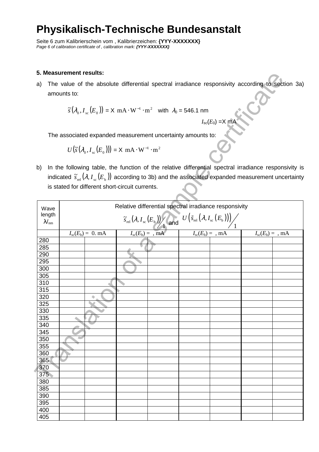Seite 6 zum Kalibrierschein vom , Kalibrierzeichen: **{YYY-XXXXXXX}**  Page 6 of calibration certificate of , calibration mark: **{YYY-XXXXXX}** 

#### **5. Measurement results:**

$$
\widetilde{s}(\lambda_0, I_{sc}(E_0)) = X \text{ mA} \cdot \text{W}^{-1} \cdot \text{m}^2 \text{ with } \lambda_0 = 546.1 \text{ nm}
$$

$$
I_{\rm sc}(E_0) = X \text{ mA}
$$

$$
U(\widetilde{s}(\lambda_0, I_{\rm sc}(E_0))) = X \, \text{mA} \cdot \text{W}^{-1} \cdot \text{m}^2
$$

|                | 5. Measurement resuits:                                                                        |                                                 |  |                                          |                                                                                                                                                                              |                                |                                |  |
|----------------|------------------------------------------------------------------------------------------------|-------------------------------------------------|--|------------------------------------------|------------------------------------------------------------------------------------------------------------------------------------------------------------------------------|--------------------------------|--------------------------------|--|
| a)             |                                                                                                |                                                 |  |                                          | The value of the absolute differential spectral irradiance responsivity according to section 3a)                                                                             |                                |                                |  |
|                | amounts to:                                                                                    |                                                 |  |                                          |                                                                                                                                                                              |                                |                                |  |
|                |                                                                                                |                                                 |  |                                          | $\widetilde{s}(\lambda_0, I_{\rm sc}(E_0)) = X \text{ mA} \cdot \text{W}^{-1} \cdot \text{m}^2$ with $\lambda_0 = 546.1 \text{ nm}$                                          |                                |                                |  |
|                |                                                                                                |                                                 |  |                                          |                                                                                                                                                                              | $I_{\rm sc}(E_0) = X$ mA       |                                |  |
|                |                                                                                                |                                                 |  |                                          | The associated expanded measurement uncertainty amounts to:                                                                                                                  |                                |                                |  |
|                | $U(\widetilde{s}(\lambda_0, I_{sc}(E_0))) = X \text{ mA} \cdot \text{W}^{-1} \cdot \text{m}^2$ |                                                 |  |                                          |                                                                                                                                                                              |                                |                                |  |
| b)             |                                                                                                |                                                 |  |                                          | In the following table, the function of the relative differential spectral irradiance responsivity is                                                                        |                                |                                |  |
|                |                                                                                                |                                                 |  |                                          | indicated $\tilde{s}_{rel}(\lambda, I_{sc}(E_b))$ according to 3b) and the associated expanded measurement uncertainty                                                       |                                |                                |  |
|                |                                                                                                | is stated for different short-circuit currents. |  |                                          |                                                                                                                                                                              |                                |                                |  |
| Wave           |                                                                                                |                                                 |  |                                          | Relative differential spectral irradiance responsivity                                                                                                                       |                                |                                |  |
| length         |                                                                                                |                                                 |  |                                          |                                                                                                                                                                              |                                |                                |  |
| $\lambda_{nm}$ |                                                                                                |                                                 |  |                                          | $\frac{\widetilde{S}_{\text{rel}}(\lambda, I_{\text{sc}}(E_{\text{b}}))}{\lambda}$ and $\frac{U(\widetilde{S}_{\text{rel}}(\lambda, I_{\text{sc}}(E_{\text{b}})))}{\lambda}$ |                                |                                |  |
|                |                                                                                                | $I_{\rm sc}(E_{\rm b}) = 0.$ mA                 |  | $I_{\rm sc}(E_{\rm b}) = \overline{m}$ A |                                                                                                                                                                              | $I_{\rm sc}(E_{\rm b}) =$ , mA | $I_{\rm sc}(E_{\rm b}) =$ , mA |  |
| 280            |                                                                                                |                                                 |  |                                          |                                                                                                                                                                              |                                |                                |  |
| 285            |                                                                                                |                                                 |  |                                          |                                                                                                                                                                              |                                |                                |  |
| 290<br>295     |                                                                                                |                                                 |  |                                          |                                                                                                                                                                              |                                |                                |  |
| 300            |                                                                                                |                                                 |  |                                          |                                                                                                                                                                              |                                |                                |  |
| 305            |                                                                                                |                                                 |  |                                          |                                                                                                                                                                              |                                |                                |  |
| 310            |                                                                                                |                                                 |  |                                          |                                                                                                                                                                              |                                |                                |  |
| 315            |                                                                                                |                                                 |  |                                          |                                                                                                                                                                              |                                |                                |  |
| 320            |                                                                                                |                                                 |  |                                          |                                                                                                                                                                              |                                |                                |  |
| 325            |                                                                                                |                                                 |  |                                          |                                                                                                                                                                              |                                |                                |  |
| 330            |                                                                                                |                                                 |  |                                          |                                                                                                                                                                              |                                |                                |  |
| 335            | ٠                                                                                              |                                                 |  |                                          |                                                                                                                                                                              |                                |                                |  |
| 340            |                                                                                                |                                                 |  |                                          |                                                                                                                                                                              |                                |                                |  |
| 345<br>350     | ۵                                                                                              |                                                 |  |                                          |                                                                                                                                                                              |                                |                                |  |
| 355            |                                                                                                |                                                 |  |                                          |                                                                                                                                                                              |                                |                                |  |
| 360            |                                                                                                |                                                 |  |                                          |                                                                                                                                                                              |                                |                                |  |
| 365            |                                                                                                |                                                 |  |                                          |                                                                                                                                                                              |                                |                                |  |
| 370            |                                                                                                |                                                 |  |                                          |                                                                                                                                                                              |                                |                                |  |
| 375            |                                                                                                |                                                 |  |                                          |                                                                                                                                                                              |                                |                                |  |
| 380            |                                                                                                |                                                 |  |                                          |                                                                                                                                                                              |                                |                                |  |
| 385            |                                                                                                |                                                 |  |                                          |                                                                                                                                                                              |                                |                                |  |
| 390            |                                                                                                |                                                 |  |                                          |                                                                                                                                                                              |                                |                                |  |
| 395            |                                                                                                |                                                 |  |                                          |                                                                                                                                                                              |                                |                                |  |
| 400            |                                                                                                |                                                 |  |                                          |                                                                                                                                                                              |                                |                                |  |
| 405            |                                                                                                |                                                 |  |                                          |                                                                                                                                                                              |                                |                                |  |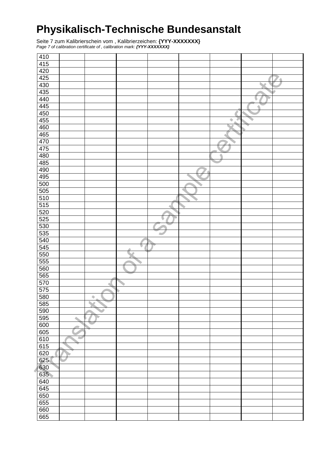Seite 7 zum Kalibrierschein vom , Kalibrierzeichen: **{YYY-XXXXXXX}**  Page 7 of calibration certificate of , calibration mark: **{YYY-XXXXXXX}** 

| 410               |   |                 |   |   |        |   |  |
|-------------------|---|-----------------|---|---|--------|---|--|
| $\overline{415}$  |   |                 |   |   |        |   |  |
|                   |   |                 |   |   |        |   |  |
| $\frac{420}{425}$ |   |                 |   |   |        |   |  |
|                   |   |                 |   |   |        |   |  |
| 430               |   |                 |   |   |        |   |  |
| 435               |   |                 |   |   |        |   |  |
| 440               |   |                 |   |   |        | ٠ |  |
| 445               |   |                 |   |   |        |   |  |
| 450               |   |                 |   |   |        |   |  |
| 455               |   |                 |   |   | ۰<br>4 |   |  |
| 460               |   |                 |   |   |        |   |  |
|                   |   |                 |   |   |        |   |  |
| 465               |   |                 |   |   |        |   |  |
| 470               |   |                 |   |   |        |   |  |
| 475               |   |                 |   |   |        |   |  |
| 480               |   |                 |   |   |        |   |  |
| 485               |   |                 |   |   |        |   |  |
| 490               |   |                 |   |   |        |   |  |
| 495               |   |                 |   |   |        |   |  |
| 500               |   |                 |   |   |        |   |  |
| 505               |   |                 |   |   |        |   |  |
| 510               |   |                 |   |   |        |   |  |
| 515               |   |                 |   |   |        |   |  |
|                   |   |                 |   | ٠ |        |   |  |
| 520               |   |                 |   |   |        |   |  |
| 525               |   |                 |   |   |        |   |  |
| 530               |   |                 |   |   |        |   |  |
| 535               |   |                 |   |   |        |   |  |
| 540               |   |                 |   |   |        |   |  |
| $\overline{545}$  |   |                 | ⋼ |   |        |   |  |
| 550               |   |                 |   |   |        |   |  |
| 555               |   |                 |   |   |        |   |  |
| 560               |   |                 |   |   |        |   |  |
| 565               |   |                 |   |   |        |   |  |
| 570               |   |                 |   |   |        |   |  |
| 575               |   | ٠               |   |   |        |   |  |
|                   |   |                 |   |   |        |   |  |
| 580               |   | $\blacklozenge$ |   |   |        |   |  |
| 585               |   |                 |   |   |        |   |  |
| 590               |   |                 |   |   |        |   |  |
| 595               | ٠ |                 |   |   |        |   |  |
| 600               |   |                 |   |   |        |   |  |
| 605               |   |                 |   |   |        |   |  |
| 610               | ٠ |                 |   |   |        |   |  |
| 615               |   |                 |   |   |        |   |  |
| 620               |   |                 |   |   |        |   |  |
| 625               |   |                 |   |   |        |   |  |
| 630               |   |                 |   |   |        |   |  |
| 635               |   |                 |   |   |        |   |  |
|                   |   |                 |   |   |        |   |  |
| 640               |   |                 |   |   |        |   |  |
| 645               |   |                 |   |   |        |   |  |
| 650               |   |                 |   |   |        |   |  |
| 655               |   |                 |   |   |        |   |  |
| 660               |   |                 |   |   |        |   |  |
| 665               |   |                 |   |   |        |   |  |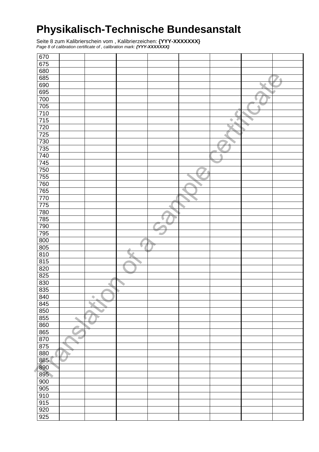Seite 8 zum Kalibrierschein vom , Kalibrierzeichen: **{YYY-XXXXXXX}**  Page 8 of calibration certificate of , calibration mark: **{YYY-XXXXXXX}** 

| 670              |             |                 |  |   |   |   |
|------------------|-------------|-----------------|--|---|---|---|
| 675              |             |                 |  |   |   |   |
|                  |             |                 |  |   |   |   |
| 680              |             |                 |  |   |   |   |
| 685              |             |                 |  |   |   | 4 |
| 690              |             |                 |  |   |   |   |
| 695              |             |                 |  |   |   |   |
| 700              |             |                 |  |   | U |   |
| 705              |             |                 |  |   |   |   |
| 710              |             |                 |  |   |   |   |
| 715              |             |                 |  | ۰ |   |   |
| 720              |             |                 |  |   |   |   |
|                  |             |                 |  |   |   |   |
| 725              |             |                 |  |   |   |   |
| 730              |             |                 |  |   |   |   |
| 735              |             |                 |  |   |   |   |
| 740              |             |                 |  |   |   |   |
| 745              |             |                 |  |   |   |   |
| 750              |             |                 |  |   |   |   |
| 755              |             |                 |  |   |   |   |
| 760              |             |                 |  |   |   |   |
| $\overline{765}$ |             |                 |  |   |   |   |
| 770              |             |                 |  |   |   |   |
| 775              |             |                 |  |   |   |   |
|                  |             |                 |  |   |   |   |
| 780              |             |                 |  |   |   |   |
| 785              |             |                 |  |   |   |   |
| 790              |             |                 |  |   |   |   |
| 795              |             |                 |  |   |   |   |
| 800              |             |                 |  |   |   |   |
| 805              |             |                 |  |   |   |   |
| 810              |             |                 |  |   |   |   |
| $\frac{815}{ }$  |             |                 |  |   |   |   |
| 820              |             |                 |  |   |   |   |
| 825              |             |                 |  |   |   |   |
| 830              |             |                 |  |   |   |   |
| 835              |             |                 |  |   |   |   |
|                  |             |                 |  |   |   |   |
| 840              |             | $\blacklozenge$ |  |   |   |   |
| 845              |             |                 |  |   |   |   |
| 850              |             |                 |  |   |   |   |
| 855              | $\triangle$ |                 |  |   |   |   |
| 860              |             |                 |  |   |   |   |
| 865              |             |                 |  |   |   |   |
| 870              | ٠           |                 |  |   |   |   |
| 875              |             |                 |  |   |   |   |
| 880              |             |                 |  |   |   |   |
| 885              |             |                 |  |   |   |   |
| 890              |             |                 |  |   |   |   |
| 895              |             |                 |  |   |   |   |
|                  |             |                 |  |   |   |   |
| 900              |             |                 |  |   |   |   |
| 905              |             |                 |  |   |   |   |
| 910              |             |                 |  |   |   |   |
| 915              |             |                 |  |   |   |   |
| $\overline{920}$ |             |                 |  |   |   |   |
| 925              |             |                 |  |   |   |   |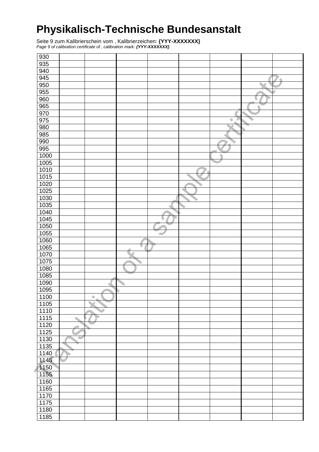Seite 9 zum Kalibrierschein vom , Kalibrierzeichen: **{YYY-XXXXXXX}**  Page 9 of calibration certificate of , calibration mark: **{YYY-XXXXXXX}** 

| 930              |   |                      |   |   |   |   |   |
|------------------|---|----------------------|---|---|---|---|---|
| 935              |   |                      |   |   |   |   |   |
| 940              |   |                      |   |   |   |   |   |
|                  |   |                      |   |   |   |   |   |
| 945              |   |                      |   |   |   |   | ₫ |
| 950              |   |                      |   |   |   |   |   |
| 955              |   |                      |   |   |   |   |   |
| 960              |   |                      |   |   |   | V |   |
| 965              |   |                      |   |   |   | ٠ |   |
| 970              |   |                      |   |   |   |   |   |
| 975              |   |                      |   |   | ۰ |   |   |
| 980              |   |                      |   |   |   |   |   |
| 985              |   |                      |   |   |   |   |   |
| 990              |   |                      |   |   |   |   |   |
| 995              |   |                      |   |   |   |   |   |
| 1000             |   |                      |   |   |   |   |   |
| 1005             |   |                      |   |   |   |   |   |
| 1010             |   |                      |   |   |   |   |   |
| 1015             |   |                      |   |   |   |   |   |
| 1020             |   |                      |   |   |   |   |   |
| $\frac{1025}{ }$ |   |                      |   |   |   |   |   |
|                  |   |                      |   |   |   |   |   |
| 1030             |   |                      |   |   |   |   |   |
| 1035             |   |                      |   | ٠ |   |   |   |
| 1040             |   |                      |   |   |   |   |   |
| 1045             |   |                      |   | u |   |   |   |
| 1050             |   |                      |   |   |   |   |   |
| 1055             |   |                      |   |   |   |   |   |
| 1060             |   |                      |   |   |   |   |   |
| 1065             |   |                      | ٠ |   |   |   |   |
| 1070             |   |                      |   |   |   |   |   |
| 1075             |   |                      |   |   |   |   |   |
| 1080             |   |                      |   |   |   |   |   |
| 1085             |   |                      |   |   |   |   |   |
| 1090             |   |                      |   |   |   |   |   |
| 1095             |   |                      |   |   |   |   |   |
| 1100             |   | V<br>$\blacklozenge$ |   |   |   |   |   |
| 1105             |   | A<br>Δ               |   |   |   |   |   |
| 1110             |   |                      |   |   |   |   |   |
| 1115             | ٠ | Þ                    |   |   |   |   |   |
| 1120             |   |                      |   |   |   |   |   |
| 1125             |   |                      |   |   |   |   |   |
|                  | ۰ |                      |   |   |   |   |   |
| 1130             |   |                      |   |   |   |   |   |
| 1135             |   |                      |   |   |   |   |   |
| 1140             |   |                      |   |   |   |   |   |
| 1145             |   |                      |   |   |   |   |   |
| 1150             |   |                      |   |   |   |   |   |
| 1155             |   |                      |   |   |   |   |   |
| 1160             |   |                      |   |   |   |   |   |
| 1165             |   |                      |   |   |   |   |   |
| 1170             |   |                      |   |   |   |   |   |
| 1175             |   |                      |   |   |   |   |   |
| 1180             |   |                      |   |   |   |   |   |
| 1185             |   |                      |   |   |   |   |   |
|                  |   |                      |   |   |   |   |   |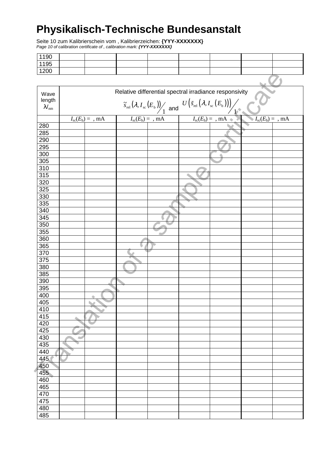Seite 10 zum Kalibrierschein vom , Kalibrierzeichen: **{YYY-XXXXXXX}**  Page 10 of calibration certificate of , calibration mark: **{YYY-XXXXXXX}** 

| 1190 |  |  |  |  |
|------|--|--|--|--|
| 1195 |  |  |  |  |
| 1200 |  |  |  |  |

| $-00$            |   |                                                                                                                                              |                                                        |  |                                |  |                                |  |  |
|------------------|---|----------------------------------------------------------------------------------------------------------------------------------------------|--------------------------------------------------------|--|--------------------------------|--|--------------------------------|--|--|
|                  |   |                                                                                                                                              |                                                        |  |                                |  |                                |  |  |
| Wave             |   |                                                                                                                                              | Relative differential spectral irradiance responsivity |  |                                |  |                                |  |  |
| length           |   |                                                                                                                                              |                                                        |  |                                |  |                                |  |  |
| $\lambda_{nm}$   |   | $\widetilde{S}_{\text{rel}}(\lambda, I_{\text{sc}}(E_{\text{b}}))$ and $U(\widetilde{S}_{\text{rel}}(\lambda, I_{\text{sc}}(E_{\text{b}})))$ |                                                        |  |                                |  |                                |  |  |
|                  |   | 1 <sup>5</sup>                                                                                                                               |                                                        |  |                                |  |                                |  |  |
|                  |   | $I_{\rm sc}(E_{\rm b}) =$ , mA                                                                                                               | $I_{\rm sc}(E_{\rm b}) =$ , mA                         |  | $I_{\rm sc}(E_{\rm b}) =$ , mA |  | $I_{\rm sc}(E_{\rm b}) =$ , mA |  |  |
| 280              |   |                                                                                                                                              |                                                        |  |                                |  |                                |  |  |
| 285              |   |                                                                                                                                              |                                                        |  |                                |  |                                |  |  |
| 290              |   |                                                                                                                                              |                                                        |  |                                |  |                                |  |  |
| 295              |   |                                                                                                                                              |                                                        |  |                                |  |                                |  |  |
| 300              |   |                                                                                                                                              |                                                        |  |                                |  |                                |  |  |
| 305              |   |                                                                                                                                              |                                                        |  |                                |  |                                |  |  |
| 310              |   |                                                                                                                                              |                                                        |  |                                |  |                                |  |  |
| 315<br>320       |   |                                                                                                                                              |                                                        |  |                                |  |                                |  |  |
|                  |   |                                                                                                                                              |                                                        |  |                                |  |                                |  |  |
| 325<br>330       |   |                                                                                                                                              |                                                        |  |                                |  |                                |  |  |
| 335              |   |                                                                                                                                              |                                                        |  |                                |  |                                |  |  |
| 340              |   |                                                                                                                                              |                                                        |  |                                |  |                                |  |  |
| 345              |   |                                                                                                                                              |                                                        |  |                                |  |                                |  |  |
| 350              |   |                                                                                                                                              |                                                        |  |                                |  |                                |  |  |
| 355              |   |                                                                                                                                              |                                                        |  |                                |  |                                |  |  |
| 360              |   |                                                                                                                                              |                                                        |  |                                |  |                                |  |  |
| 365              |   |                                                                                                                                              | ٠                                                      |  |                                |  |                                |  |  |
| 370              |   |                                                                                                                                              |                                                        |  |                                |  |                                |  |  |
| 375              |   |                                                                                                                                              |                                                        |  |                                |  |                                |  |  |
| 380              |   |                                                                                                                                              |                                                        |  |                                |  |                                |  |  |
| 385              |   |                                                                                                                                              |                                                        |  |                                |  |                                |  |  |
| 390              |   |                                                                                                                                              |                                                        |  |                                |  |                                |  |  |
| 395              |   |                                                                                                                                              |                                                        |  |                                |  |                                |  |  |
| 400              |   |                                                                                                                                              |                                                        |  |                                |  |                                |  |  |
| 405              |   |                                                                                                                                              |                                                        |  |                                |  |                                |  |  |
| 410              |   |                                                                                                                                              |                                                        |  |                                |  |                                |  |  |
| $\overline{415}$ |   |                                                                                                                                              |                                                        |  |                                |  |                                |  |  |
| $\overline{420}$ |   |                                                                                                                                              |                                                        |  |                                |  |                                |  |  |
| 425              |   |                                                                                                                                              |                                                        |  |                                |  |                                |  |  |
| 430              | ٠ |                                                                                                                                              |                                                        |  |                                |  |                                |  |  |
| 435              |   |                                                                                                                                              |                                                        |  |                                |  |                                |  |  |
| 440              |   |                                                                                                                                              |                                                        |  |                                |  |                                |  |  |
| 445              |   |                                                                                                                                              |                                                        |  |                                |  |                                |  |  |
| 450<br>455       |   |                                                                                                                                              |                                                        |  |                                |  |                                |  |  |
| 460              |   |                                                                                                                                              |                                                        |  |                                |  |                                |  |  |
| 465              |   |                                                                                                                                              |                                                        |  |                                |  |                                |  |  |
| 470              |   |                                                                                                                                              |                                                        |  |                                |  |                                |  |  |
| 475              |   |                                                                                                                                              |                                                        |  |                                |  |                                |  |  |
| 480              |   |                                                                                                                                              |                                                        |  |                                |  |                                |  |  |
| 485              |   |                                                                                                                                              |                                                        |  |                                |  |                                |  |  |
|                  |   |                                                                                                                                              |                                                        |  |                                |  |                                |  |  |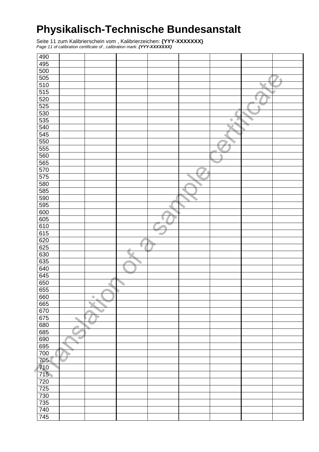Seite 11 zum Kalibrierschein vom , Kalibrierzeichen: **{YYY-XXXXXXX}**  Page 11 of calibration certificate of, calibration mark: **{YYY-XXXXXXX}** 

| 490              |             |                 |   |  |   |   |   |
|------------------|-------------|-----------------|---|--|---|---|---|
| $\frac{495}{ }$  |             |                 |   |  |   |   |   |
| 500              |             |                 |   |  |   |   |   |
|                  |             |                 |   |  |   |   |   |
| $\overline{505}$ |             |                 |   |  |   |   | ₫ |
| 510              |             |                 |   |  |   |   |   |
| 515              |             |                 |   |  |   |   |   |
| 520              |             |                 |   |  |   | U |   |
| 525              |             |                 |   |  |   |   |   |
| 530              |             |                 |   |  |   |   |   |
| 535              |             |                 |   |  | ۰ |   |   |
| 540              |             |                 |   |  |   |   |   |
| 545              |             |                 |   |  |   |   |   |
| 550              |             |                 |   |  |   |   |   |
| 555              |             |                 |   |  |   |   |   |
| 560              |             |                 |   |  |   |   |   |
| 565              |             |                 |   |  |   |   |   |
| 570              |             |                 |   |  |   |   |   |
| 575              |             |                 |   |  |   |   |   |
| 580              |             |                 |   |  |   |   |   |
| 585              |             |                 |   |  |   |   |   |
| 590              |             |                 |   |  |   |   |   |
| 595              |             |                 |   |  |   |   |   |
|                  |             |                 |   |  |   |   |   |
| 600              |             |                 |   |  |   |   |   |
| 605              |             |                 |   |  |   |   |   |
| 610              |             |                 |   |  |   |   |   |
| 615              |             |                 |   |  |   |   |   |
| 620              |             |                 |   |  |   |   |   |
| 625              |             |                 | ٠ |  |   |   |   |
| 630              |             |                 |   |  |   |   |   |
| 635              |             |                 |   |  |   |   |   |
| 640              |             |                 |   |  |   |   |   |
| 645              |             |                 |   |  |   |   |   |
| 650              |             |                 |   |  |   |   |   |
| 655              |             |                 |   |  |   |   |   |
| 660              |             | $\blacklozenge$ |   |  |   |   |   |
| 665              |             |                 |   |  |   |   |   |
| 670              |             |                 |   |  |   |   |   |
| 675              | $\triangle$ |                 |   |  |   |   |   |
| 680              |             |                 |   |  |   |   |   |
| 685              |             |                 |   |  |   |   |   |
| 690              | ٠           |                 |   |  |   |   |   |
| 695              |             |                 |   |  |   |   |   |
| 700              |             |                 |   |  |   |   |   |
| 705              |             |                 |   |  |   |   |   |
| 710              |             |                 |   |  |   |   |   |
| 715              |             |                 |   |  |   |   |   |
| 720              |             |                 |   |  |   |   |   |
| 725              |             |                 |   |  |   |   |   |
|                  |             |                 |   |  |   |   |   |
| 730<br>735       |             |                 |   |  |   |   |   |
|                  |             |                 |   |  |   |   |   |
| 740              |             |                 |   |  |   |   |   |
| 745              |             |                 |   |  |   |   |   |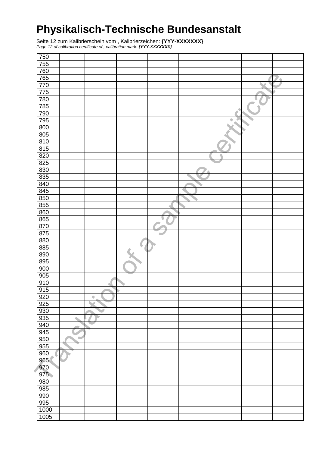Seite 12 zum Kalibrierschein vom , Kalibrierzeichen: **{YYY-XXXXXXX}**  Page 12 of calibration certificate of , calibration mark: **{YYY-XXXXXXX}** 

| 750              |                          |   |  |   |   |   |
|------------------|--------------------------|---|--|---|---|---|
| 755              |                          |   |  |   |   |   |
| 760              |                          |   |  |   |   |   |
| 765              |                          |   |  |   |   | ۵ |
| 770              |                          |   |  |   |   |   |
| 775              |                          |   |  |   |   |   |
| 780              |                          |   |  |   |   |   |
| $\overline{785}$ |                          |   |  |   | ٠ |   |
| 790              |                          |   |  |   |   |   |
| $\frac{795}{ }$  |                          |   |  | ۰ |   |   |
| 800              |                          |   |  |   |   |   |
| 805              |                          |   |  |   |   |   |
| 810              |                          |   |  |   |   |   |
| $\frac{815}{ }$  |                          |   |  |   |   |   |
| 820              |                          |   |  |   |   |   |
| 825              |                          |   |  |   |   |   |
| 830              |                          |   |  |   |   |   |
| 835              |                          |   |  |   |   |   |
| 840              |                          |   |  |   |   |   |
| 845              |                          |   |  |   |   |   |
| 850              |                          |   |  |   |   |   |
| 855              |                          |   |  |   |   |   |
| 860              |                          |   |  |   |   |   |
| 865              |                          |   |  |   |   |   |
| 870              |                          |   |  |   |   |   |
| 875              |                          |   |  |   |   |   |
| 880              |                          |   |  |   |   |   |
| 885              |                          |   |  |   |   |   |
| 890              |                          |   |  |   |   |   |
| 895              |                          |   |  |   |   |   |
| 900              |                          |   |  |   |   |   |
| 905              |                          |   |  |   |   |   |
| 910              |                          |   |  |   |   |   |
| 915              |                          |   |  |   |   |   |
| 920              |                          | ۰ |  |   |   |   |
| 925              |                          |   |  |   |   |   |
| 930              |                          |   |  |   |   |   |
| 935              | $\overline{\phantom{a}}$ | D |  |   |   |   |
| 940              |                          |   |  |   |   |   |
| 945              |                          |   |  |   |   |   |
| 950              | ٠                        |   |  |   |   |   |
| 955              |                          |   |  |   |   |   |
| 960              |                          |   |  |   |   |   |
| 965              |                          |   |  |   |   |   |
| 970              |                          |   |  |   |   |   |
| 975              |                          |   |  |   |   |   |
| 980              |                          |   |  |   |   |   |
| 985              |                          |   |  |   |   |   |
| 990              |                          |   |  |   |   |   |
| 995              |                          |   |  |   |   |   |
| 1000             |                          |   |  |   |   |   |
| 1005             |                          |   |  |   |   |   |
|                  |                          |   |  |   |   |   |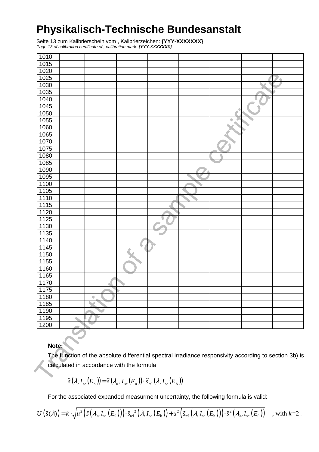Seite 13 zum Kalibrierschein vom , Kalibrierzeichen: **{YYY-XXXXXXX}**  Page 13 of calibration certificate of , calibration mark: **{YYY-XXXXXXX}** 

| 1010        |                                                                                                        |   |   |  |
|-------------|--------------------------------------------------------------------------------------------------------|---|---|--|
| 1015        |                                                                                                        |   |   |  |
| 1020        |                                                                                                        |   |   |  |
| 1025        |                                                                                                        |   |   |  |
| 1030        |                                                                                                        |   |   |  |
| 1035        |                                                                                                        |   |   |  |
| 1040        |                                                                                                        |   |   |  |
| 1045        |                                                                                                        |   |   |  |
| 1050        |                                                                                                        |   |   |  |
| 1055        |                                                                                                        |   | ۰ |  |
| 1060        |                                                                                                        |   |   |  |
| 1065        |                                                                                                        |   |   |  |
| 1070        |                                                                                                        |   |   |  |
| 1075        |                                                                                                        |   |   |  |
| 1080        |                                                                                                        |   |   |  |
| 1085        |                                                                                                        |   |   |  |
| 1090        |                                                                                                        |   |   |  |
| 1095        |                                                                                                        |   |   |  |
| 1100        |                                                                                                        |   |   |  |
| 1105        |                                                                                                        |   |   |  |
| 1110        |                                                                                                        |   |   |  |
| 1115        |                                                                                                        |   |   |  |
| 1120        |                                                                                                        |   |   |  |
| 1125        |                                                                                                        | u |   |  |
| 1130        |                                                                                                        |   |   |  |
| 1135        |                                                                                                        | ٠ |   |  |
| 1140        |                                                                                                        |   |   |  |
| 1145        |                                                                                                        |   |   |  |
| 1150        |                                                                                                        |   |   |  |
| 1155        |                                                                                                        |   |   |  |
| 1160        |                                                                                                        |   |   |  |
| 1165        |                                                                                                        |   |   |  |
| 1170        |                                                                                                        |   |   |  |
| 1175        |                                                                                                        |   |   |  |
| <u>1180</u> |                                                                                                        |   |   |  |
| 1185        |                                                                                                        |   |   |  |
| 1190        |                                                                                                        |   |   |  |
| 1195        |                                                                                                        |   |   |  |
| 1200        |                                                                                                        |   |   |  |
|             |                                                                                                        |   |   |  |
|             |                                                                                                        |   |   |  |
| Note:       |                                                                                                        |   |   |  |
|             | The function of the absolute differential spectral irradiance responsivity according to section 3b) is |   |   |  |
|             |                                                                                                        |   |   |  |
|             | calculated in accordance with the formula                                                              |   |   |  |
|             |                                                                                                        |   |   |  |
|             | $\tilde{s}(\lambda I(F_{n})) = \tilde{s}(\lambda I(F_{n})) \cdot \tilde{s}(\lambda I(F_{n}))$          |   |   |  |

#### **Note:**

$$
\widetilde{s}(\lambda, I_{\rm sc}(E_{\rm b})) = \widetilde{s}(\lambda_0, I_{\rm sc}(E_0)) \cdot \widetilde{s}_{\rm rel}(\lambda, I_{\rm sc}(E_{\rm b}))
$$

For the associated expanded measurment uncertainty, the following formula is valid:

$$
U(\tilde{s}(\lambda)) = k \cdot \sqrt{u^2(\tilde{s}(\lambda_0, I_{\rm sc}(E_0))) \cdot \tilde{s}_{\rm rel}^2(\lambda, I_{\rm sc}(E_{\rm b})) + u^2(\tilde{s}_{\rm rel}(\lambda, I_{\rm sc}(E_{\rm b})) \cdot \tilde{s}^2(\lambda_0, I_{\rm sc}(E_0)))};
$$
 with  $k=2$ .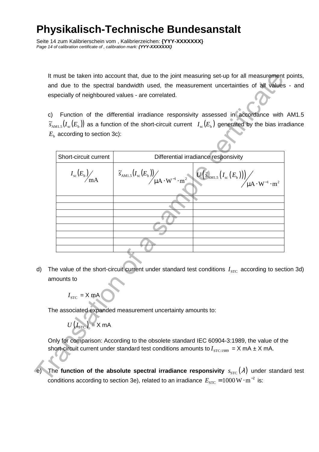Seite 14 zum Kalibrierschein vom , Kalibrierzeichen: **{YYY-XXXXXXX}**  Page 14 of calibration certificate of , calibration mark: **{YYY-XXXXXXX}** 

It must be taken into account that, due to the joint measuring set-up for all measurement points, and due to the spectral bandwidth used, the measurement uncertainties of all values - and especially of neighboured values - are correlated.

c) Function of the differential irradiance responsivity assessed in accordance with AM1.5  $\widetilde s_{\rm AM1.5} (I_{\rm sc}(E_{\rm b}))$  as a function of the short-circuit current  $I_{\rm sc}(E_{\rm b})$  generated by the bias irradiance  $E_{\rm b}$  according to section 3c):

|     | C) |                                         | especially of neighboured values - are correlated.                                                          | It must be taken into account that, due to the joint measuring set-up for all measurement<br>and due to the spectral bandwidth used, the measurement uncertainties of all values<br>Function of the differential irradiance responsivity assessed in accordance with<br>$\widetilde{S}_{\text{AMI},5}(I_{\text{sc}}(E_{\text{b}}))$ as a function of the short-circuit current $I_{\text{sc}}(E_{\text{b}})$ generated by the bias irra |
|-----|----|-----------------------------------------|-------------------------------------------------------------------------------------------------------------|-----------------------------------------------------------------------------------------------------------------------------------------------------------------------------------------------------------------------------------------------------------------------------------------------------------------------------------------------------------------------------------------------------------------------------------------|
|     |    | $E_{\rm b}$ according to section 3c):   |                                                                                                             |                                                                                                                                                                                                                                                                                                                                                                                                                                         |
|     |    | Short-circuit current                   |                                                                                                             | Differential irradiance responsivity                                                                                                                                                                                                                                                                                                                                                                                                    |
|     |    | $I_{\rm sc}(E_{\rm b})\!\!\!\!\!\!/$ mA |                                                                                                             | $\left(\mathfrak{F}_{\mathrm{AMI},5}(I_\mathrm{sc}(E_\mathrm{b}))\right)_{\mu\mathrm{A}\cdot\mathrm{W}^{-1}\cdot\mathrm{m}^2}\left(\mathbf{U}\left(\mathfrak{F}_{\mathrm{AMI},5}\left(I_\mathrm{sc}\left(E_\mathrm{b}\right)\right)\right)\right)_{\mu\mathrm{A}\cdot\mathrm{W}^{-1}\cdot\mathrm{m}^2}\right)$                                                                                                                          |
|     |    |                                         |                                                                                                             |                                                                                                                                                                                                                                                                                                                                                                                                                                         |
|     |    |                                         |                                                                                                             |                                                                                                                                                                                                                                                                                                                                                                                                                                         |
|     |    |                                         |                                                                                                             |                                                                                                                                                                                                                                                                                                                                                                                                                                         |
|     |    |                                         |                                                                                                             |                                                                                                                                                                                                                                                                                                                                                                                                                                         |
|     |    |                                         |                                                                                                             |                                                                                                                                                                                                                                                                                                                                                                                                                                         |
|     |    |                                         |                                                                                                             |                                                                                                                                                                                                                                                                                                                                                                                                                                         |
| d)  |    |                                         |                                                                                                             | The value of the short-circuit current under standard test conditions $I_{STC}$ according to sec                                                                                                                                                                                                                                                                                                                                        |
|     |    | amounts to                              |                                                                                                             |                                                                                                                                                                                                                                                                                                                                                                                                                                         |
|     |    | $I_{\rm src}$ = X mA                    |                                                                                                             |                                                                                                                                                                                                                                                                                                                                                                                                                                         |
|     |    | $U(I_{\text{STC}}) = X \text{ mA}$      | The associated expanded measurement uncertainty amounts to:                                                 |                                                                                                                                                                                                                                                                                                                                                                                                                                         |
|     |    |                                         |                                                                                                             | Only for comparison: According to the obsolete standard IEC 60904-3:1989, the value of the<br>short-circuit current under standard test conditions amounts to $I_{\text{STC:1989}} = X \text{ mA} \pm X \text{ mA}$ .                                                                                                                                                                                                                   |
| (e) |    |                                         |                                                                                                             | The function of the absolute spectral irradiance responsivity $s_{\text{src}}(\lambda)$ under standa                                                                                                                                                                                                                                                                                                                                    |
|     |    |                                         | conditions according to section 3e), related to an irradiance $E_{\rm src} = 1000 \,\rm W \cdot m^{-2}$ is: |                                                                                                                                                                                                                                                                                                                                                                                                                                         |

d) The value of the short-circuit current under standard test conditions  $I_{\text{src}}$  according to section 3d) amounts to

$$
U(I_{\rm{STC}}) = X \text{ mA}
$$

The **function of the absolute spectral irradiance responsivity**  $s_{STC}(\lambda)$  under standard test conditions according to section 3e), related to an irradiance  $E_{\rm src}$  =  $1000\,\rm W\cdot m^{-2}$  is: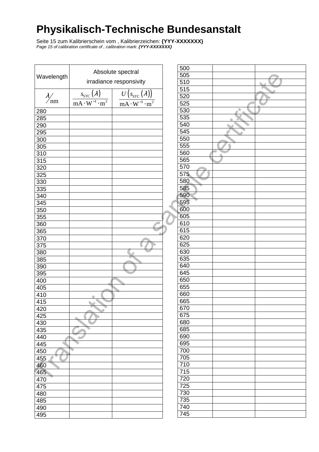Seite 15 zum Kalibrierschein vom , Kalibrierzeichen: **{YYY-XXXXXXX}**  Page 15 of calibration certificate of , calibration mark: **{YYY-XXXXXXX}** 

|                      |                                        | Absolute spectral                                                     | 500        |  |
|----------------------|----------------------------------------|-----------------------------------------------------------------------|------------|--|
| Wavelength           |                                        |                                                                       | 505        |  |
|                      |                                        | irradiance responsivity                                               | 510        |  |
|                      |                                        |                                                                       | 515        |  |
| $\frac{\lambda}{nm}$ | $s_{\text{src}}(\lambda)$              | $\left(s_{\text{src}}\left(\lambda\right)\right)$<br>$\boldsymbol{U}$ | 520        |  |
|                      | $\overline{mA \cdot W^{-1} \cdot m^2}$ | $\frac{\cdot \overline{m^2}}{2}$<br>$mA \cdot W^{-1}$                 | 525        |  |
| 280                  |                                        |                                                                       | 530        |  |
| 285                  |                                        |                                                                       | 535        |  |
| 290                  |                                        |                                                                       | 540        |  |
| 295                  |                                        |                                                                       | 545        |  |
| 300                  |                                        |                                                                       | 550        |  |
| 305                  |                                        |                                                                       | 555        |  |
|                      |                                        |                                                                       | 560        |  |
| 310                  |                                        |                                                                       | 565        |  |
| 315                  |                                        |                                                                       | 570        |  |
| 320                  |                                        |                                                                       |            |  |
| 325                  |                                        |                                                                       | 575        |  |
| 330                  |                                        |                                                                       | 580        |  |
| 335                  |                                        |                                                                       | 585        |  |
| 340                  |                                        |                                                                       | 590        |  |
| 345                  |                                        |                                                                       | 595        |  |
| 350                  |                                        |                                                                       | 600        |  |
| 355                  |                                        |                                                                       | 605        |  |
| 360                  |                                        |                                                                       | 610        |  |
| 365                  |                                        |                                                                       | 615        |  |
| 370                  |                                        |                                                                       | 620        |  |
| 375                  |                                        |                                                                       | 625        |  |
| 380                  |                                        |                                                                       | 630        |  |
| 385                  |                                        |                                                                       | 635        |  |
| 390                  |                                        |                                                                       | 640        |  |
| 395                  |                                        |                                                                       | 645        |  |
| 400                  |                                        |                                                                       | 650        |  |
| 405                  |                                        |                                                                       | 655        |  |
| 410                  |                                        |                                                                       | 660        |  |
| 415                  |                                        |                                                                       | 665        |  |
| 420                  | ò                                      |                                                                       | 670        |  |
| 425                  |                                        |                                                                       | 675        |  |
| 430                  |                                        |                                                                       | 680        |  |
| 435                  |                                        |                                                                       | 685        |  |
| 440                  |                                        |                                                                       | 690        |  |
| ٠<br>445             |                                        |                                                                       | 695        |  |
| 450                  |                                        |                                                                       | 700        |  |
| 455                  |                                        |                                                                       | 705        |  |
| 460                  |                                        |                                                                       | 710        |  |
| 465                  |                                        |                                                                       | 715        |  |
|                      |                                        |                                                                       | 720        |  |
| 470                  |                                        |                                                                       | 725        |  |
| 475                  |                                        |                                                                       |            |  |
| 480                  |                                        |                                                                       | 730<br>735 |  |
| 485                  |                                        |                                                                       |            |  |
| 490                  |                                        |                                                                       | 740        |  |
| 495                  |                                        |                                                                       | 745        |  |

| 500              |  |
|------------------|--|
| 505              |  |
| 510              |  |
| 515              |  |
| 520              |  |
| 525              |  |
| 530              |  |
| 535              |  |
| 540              |  |
| 545              |  |
| 550              |  |
| 555              |  |
| 560              |  |
| 565              |  |
| 570              |  |
| 575              |  |
|                  |  |
| 580              |  |
| 585              |  |
| 590              |  |
| 595              |  |
| 600              |  |
| 605              |  |
| 610              |  |
| 615              |  |
| 620              |  |
| 625              |  |
| 630              |  |
| 635              |  |
| 640              |  |
| 645              |  |
| 650              |  |
| 655              |  |
| 660              |  |
| 665              |  |
| 670              |  |
| 675              |  |
| 680              |  |
| 685              |  |
| 690              |  |
| 695              |  |
| 700              |  |
| 705              |  |
| 710              |  |
| $\overline{715}$ |  |
| 720              |  |
| 725              |  |
| 730              |  |
| 735              |  |
| 740              |  |
| 745              |  |
|                  |  |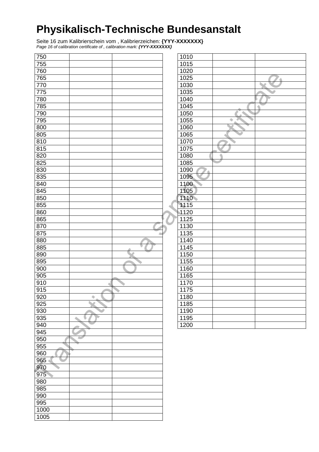Seite 16 zum Kalibrierschein vom , Kalibrierzeichen: **{YYY-XXXXXXX}**  Page 16 of calibration certificate of , calibration mark: **{YYY-XXXXXXX}** 

| 755<br>1015<br>760<br>1020<br>765<br>1025<br>۸<br>770<br>1030<br>775<br>1035<br>780<br>1040<br>785<br>1045<br>790<br>1050<br>795<br>1055<br>۰<br>800<br>1060<br>805<br>1065<br>810<br>1070<br>815<br>1075<br>820<br>1080<br>825<br>1085<br>830<br>1090<br>835<br>1095<br>840<br>1100<br>845<br>1105<br>850<br>1110<br>855<br>1115<br>860<br>1120<br>1125<br>865<br>870<br>1130<br>875<br>1135<br>880<br>1140<br>885<br>1145<br>890<br>1150<br>895<br>1155<br>900<br>1160<br>905<br>1165<br>910<br>1170<br>1175<br>915<br>920<br>1180<br>۰<br>925<br>1185<br>930<br>1190<br>935<br>1195<br>V<br>940<br>1200<br>945<br>950<br>∼<br>955<br>960<br>965<br>970<br>975<br>980<br>985<br>990<br>995<br>1000<br>1005 | 750 |  | 1010 |  |
|--------------------------------------------------------------------------------------------------------------------------------------------------------------------------------------------------------------------------------------------------------------------------------------------------------------------------------------------------------------------------------------------------------------------------------------------------------------------------------------------------------------------------------------------------------------------------------------------------------------------------------------------------------------------------------------------------------------|-----|--|------|--|
|                                                                                                                                                                                                                                                                                                                                                                                                                                                                                                                                                                                                                                                                                                              |     |  |      |  |
|                                                                                                                                                                                                                                                                                                                                                                                                                                                                                                                                                                                                                                                                                                              |     |  |      |  |
|                                                                                                                                                                                                                                                                                                                                                                                                                                                                                                                                                                                                                                                                                                              |     |  |      |  |
|                                                                                                                                                                                                                                                                                                                                                                                                                                                                                                                                                                                                                                                                                                              |     |  |      |  |
|                                                                                                                                                                                                                                                                                                                                                                                                                                                                                                                                                                                                                                                                                                              |     |  |      |  |
|                                                                                                                                                                                                                                                                                                                                                                                                                                                                                                                                                                                                                                                                                                              |     |  |      |  |
|                                                                                                                                                                                                                                                                                                                                                                                                                                                                                                                                                                                                                                                                                                              |     |  |      |  |
|                                                                                                                                                                                                                                                                                                                                                                                                                                                                                                                                                                                                                                                                                                              |     |  |      |  |
|                                                                                                                                                                                                                                                                                                                                                                                                                                                                                                                                                                                                                                                                                                              |     |  |      |  |
|                                                                                                                                                                                                                                                                                                                                                                                                                                                                                                                                                                                                                                                                                                              |     |  |      |  |
|                                                                                                                                                                                                                                                                                                                                                                                                                                                                                                                                                                                                                                                                                                              |     |  |      |  |
|                                                                                                                                                                                                                                                                                                                                                                                                                                                                                                                                                                                                                                                                                                              |     |  |      |  |
|                                                                                                                                                                                                                                                                                                                                                                                                                                                                                                                                                                                                                                                                                                              |     |  |      |  |
|                                                                                                                                                                                                                                                                                                                                                                                                                                                                                                                                                                                                                                                                                                              |     |  |      |  |
|                                                                                                                                                                                                                                                                                                                                                                                                                                                                                                                                                                                                                                                                                                              |     |  |      |  |
|                                                                                                                                                                                                                                                                                                                                                                                                                                                                                                                                                                                                                                                                                                              |     |  |      |  |
|                                                                                                                                                                                                                                                                                                                                                                                                                                                                                                                                                                                                                                                                                                              |     |  |      |  |
|                                                                                                                                                                                                                                                                                                                                                                                                                                                                                                                                                                                                                                                                                                              |     |  |      |  |
|                                                                                                                                                                                                                                                                                                                                                                                                                                                                                                                                                                                                                                                                                                              |     |  |      |  |
|                                                                                                                                                                                                                                                                                                                                                                                                                                                                                                                                                                                                                                                                                                              |     |  |      |  |
|                                                                                                                                                                                                                                                                                                                                                                                                                                                                                                                                                                                                                                                                                                              |     |  |      |  |
|                                                                                                                                                                                                                                                                                                                                                                                                                                                                                                                                                                                                                                                                                                              |     |  |      |  |
|                                                                                                                                                                                                                                                                                                                                                                                                                                                                                                                                                                                                                                                                                                              |     |  |      |  |
|                                                                                                                                                                                                                                                                                                                                                                                                                                                                                                                                                                                                                                                                                                              |     |  |      |  |
|                                                                                                                                                                                                                                                                                                                                                                                                                                                                                                                                                                                                                                                                                                              |     |  |      |  |
|                                                                                                                                                                                                                                                                                                                                                                                                                                                                                                                                                                                                                                                                                                              |     |  |      |  |
|                                                                                                                                                                                                                                                                                                                                                                                                                                                                                                                                                                                                                                                                                                              |     |  |      |  |
|                                                                                                                                                                                                                                                                                                                                                                                                                                                                                                                                                                                                                                                                                                              |     |  |      |  |
|                                                                                                                                                                                                                                                                                                                                                                                                                                                                                                                                                                                                                                                                                                              |     |  |      |  |
|                                                                                                                                                                                                                                                                                                                                                                                                                                                                                                                                                                                                                                                                                                              |     |  |      |  |
|                                                                                                                                                                                                                                                                                                                                                                                                                                                                                                                                                                                                                                                                                                              |     |  |      |  |
|                                                                                                                                                                                                                                                                                                                                                                                                                                                                                                                                                                                                                                                                                                              |     |  |      |  |
|                                                                                                                                                                                                                                                                                                                                                                                                                                                                                                                                                                                                                                                                                                              |     |  |      |  |
|                                                                                                                                                                                                                                                                                                                                                                                                                                                                                                                                                                                                                                                                                                              |     |  |      |  |
|                                                                                                                                                                                                                                                                                                                                                                                                                                                                                                                                                                                                                                                                                                              |     |  |      |  |
|                                                                                                                                                                                                                                                                                                                                                                                                                                                                                                                                                                                                                                                                                                              |     |  |      |  |
|                                                                                                                                                                                                                                                                                                                                                                                                                                                                                                                                                                                                                                                                                                              |     |  |      |  |
|                                                                                                                                                                                                                                                                                                                                                                                                                                                                                                                                                                                                                                                                                                              |     |  |      |  |
|                                                                                                                                                                                                                                                                                                                                                                                                                                                                                                                                                                                                                                                                                                              |     |  |      |  |
|                                                                                                                                                                                                                                                                                                                                                                                                                                                                                                                                                                                                                                                                                                              |     |  |      |  |
|                                                                                                                                                                                                                                                                                                                                                                                                                                                                                                                                                                                                                                                                                                              |     |  |      |  |
|                                                                                                                                                                                                                                                                                                                                                                                                                                                                                                                                                                                                                                                                                                              |     |  |      |  |
|                                                                                                                                                                                                                                                                                                                                                                                                                                                                                                                                                                                                                                                                                                              |     |  |      |  |
|                                                                                                                                                                                                                                                                                                                                                                                                                                                                                                                                                                                                                                                                                                              |     |  |      |  |
|                                                                                                                                                                                                                                                                                                                                                                                                                                                                                                                                                                                                                                                                                                              |     |  |      |  |
|                                                                                                                                                                                                                                                                                                                                                                                                                                                                                                                                                                                                                                                                                                              |     |  |      |  |
|                                                                                                                                                                                                                                                                                                                                                                                                                                                                                                                                                                                                                                                                                                              |     |  |      |  |
|                                                                                                                                                                                                                                                                                                                                                                                                                                                                                                                                                                                                                                                                                                              |     |  |      |  |
|                                                                                                                                                                                                                                                                                                                                                                                                                                                                                                                                                                                                                                                                                                              |     |  |      |  |
|                                                                                                                                                                                                                                                                                                                                                                                                                                                                                                                                                                                                                                                                                                              |     |  |      |  |
|                                                                                                                                                                                                                                                                                                                                                                                                                                                                                                                                                                                                                                                                                                              |     |  |      |  |
|                                                                                                                                                                                                                                                                                                                                                                                                                                                                                                                                                                                                                                                                                                              |     |  |      |  |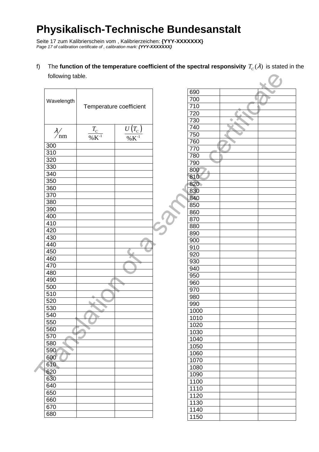Seite 17 zum Kalibrierschein vom , Kalibrierzeichen: **{YYY-XXXXXXX}**  Page 17 of calibration certificate of, calibration mark: **{YYY-XXXXXXX}** 

f) The **function of the temperature coefficient of the spectral responsivity**  $T_c(\lambda)$  **is stated in the** following table.

| following table.     |                                  |                                                  |      |   |  |
|----------------------|----------------------------------|--------------------------------------------------|------|---|--|
|                      |                                  |                                                  | 690  |   |  |
| Wavelength           |                                  |                                                  | 700  |   |  |
|                      | Temperature coefficient          |                                                  | 710  |   |  |
|                      |                                  |                                                  | 720  |   |  |
|                      |                                  |                                                  | 730  | ٠ |  |
|                      |                                  |                                                  | 740  |   |  |
| $\frac{\lambda}{nm}$ | $\frac{T_{C}}{\% \text{K}^{-1}}$ | $\frac{U\left(T_{C}\right)}{\% \textrm{K}^{-1}}$ | 750  |   |  |
|                      |                                  |                                                  | 760  |   |  |
| 300                  |                                  |                                                  | 770  |   |  |
| 310                  |                                  |                                                  | 780  |   |  |
| 320                  |                                  |                                                  | 790  |   |  |
| 330                  |                                  |                                                  | 800  |   |  |
| 340                  |                                  |                                                  | 810  |   |  |
| 350                  |                                  |                                                  |      |   |  |
| 360                  |                                  |                                                  | 820  |   |  |
| 370                  |                                  |                                                  | 830  |   |  |
| 380                  |                                  |                                                  | 840  |   |  |
| 390                  |                                  |                                                  | 850  |   |  |
| 400                  |                                  |                                                  | 860  |   |  |
| 410                  |                                  |                                                  | 870  |   |  |
| 420                  |                                  |                                                  | 880  |   |  |
| 430                  |                                  |                                                  | 890  |   |  |
| 440                  |                                  |                                                  | 900  |   |  |
| 450                  |                                  |                                                  | 910  |   |  |
| 460                  |                                  |                                                  | 920  |   |  |
| 470                  |                                  |                                                  | 930  |   |  |
| 480                  |                                  |                                                  | 940  |   |  |
|                      |                                  |                                                  | 950  |   |  |
| 490                  |                                  |                                                  | 960  |   |  |
| 500                  |                                  |                                                  | 970  |   |  |
| 510                  |                                  |                                                  | 980  |   |  |
| 520                  |                                  |                                                  | 990  |   |  |
| 530                  |                                  |                                                  | 1000 |   |  |
| 540                  |                                  |                                                  | 1010 |   |  |
| 550                  |                                  |                                                  | 1020 |   |  |
| 560                  |                                  |                                                  | 1030 |   |  |
| 570                  |                                  |                                                  | 1040 |   |  |
| 580                  |                                  |                                                  | 1050 |   |  |
| 590                  |                                  |                                                  | 1060 |   |  |
| 600                  |                                  |                                                  | 1070 |   |  |
| 610                  |                                  |                                                  | 1080 |   |  |
| 620                  |                                  |                                                  | 1090 |   |  |
| 630                  |                                  |                                                  | 1100 |   |  |
| 640                  |                                  |                                                  | 1110 |   |  |
| 650                  |                                  |                                                  | 1120 |   |  |
| 660                  |                                  |                                                  | 1130 |   |  |
| 670                  |                                  |                                                  | 1140 |   |  |
| 680                  |                                  |                                                  |      |   |  |
|                      |                                  |                                                  | 1150 |   |  |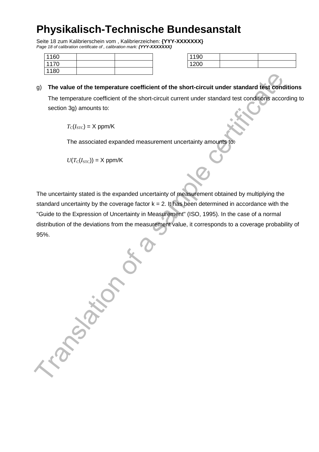Seite 18 zum Kalibrierschein vom , Kalibrierzeichen: **{YYY-XXXXXXX}**  Page 18 of calibration certificate of , calibration mark: **{YYY-XXXXXXX}** 

| 1160 |  |
|------|--|
| 1170 |  |
| 1180 |  |

| 1100   |  |
|--------|--|
| $\sim$ |  |

#### g) **The value of the temperature coefficient of the short-circuit under standard test conditions**

The temperature coefficient of the short-circuit current under standard test conditions according to section 3g) amounts to:

 $T_c(I_{STC}) = X$  ppm/K

The associated expanded measurement uncertainty amounts to:

 $U(T_{\rm C}(I_{\rm STC})) = X$  ppm/K

The uncertainty stated is the expanded uncertainty of measurement obtained by multiplying the standard uncertainty by the coverage factor  $k = 2$ . It has been determined in accordance with the "Guide to the Expression of Uncertainty in Measurement" (ISO, 1995). In the case of a normal distribution of the deviations from the measurement value, it corresponds to a coverage probability of 95%.

Translation of